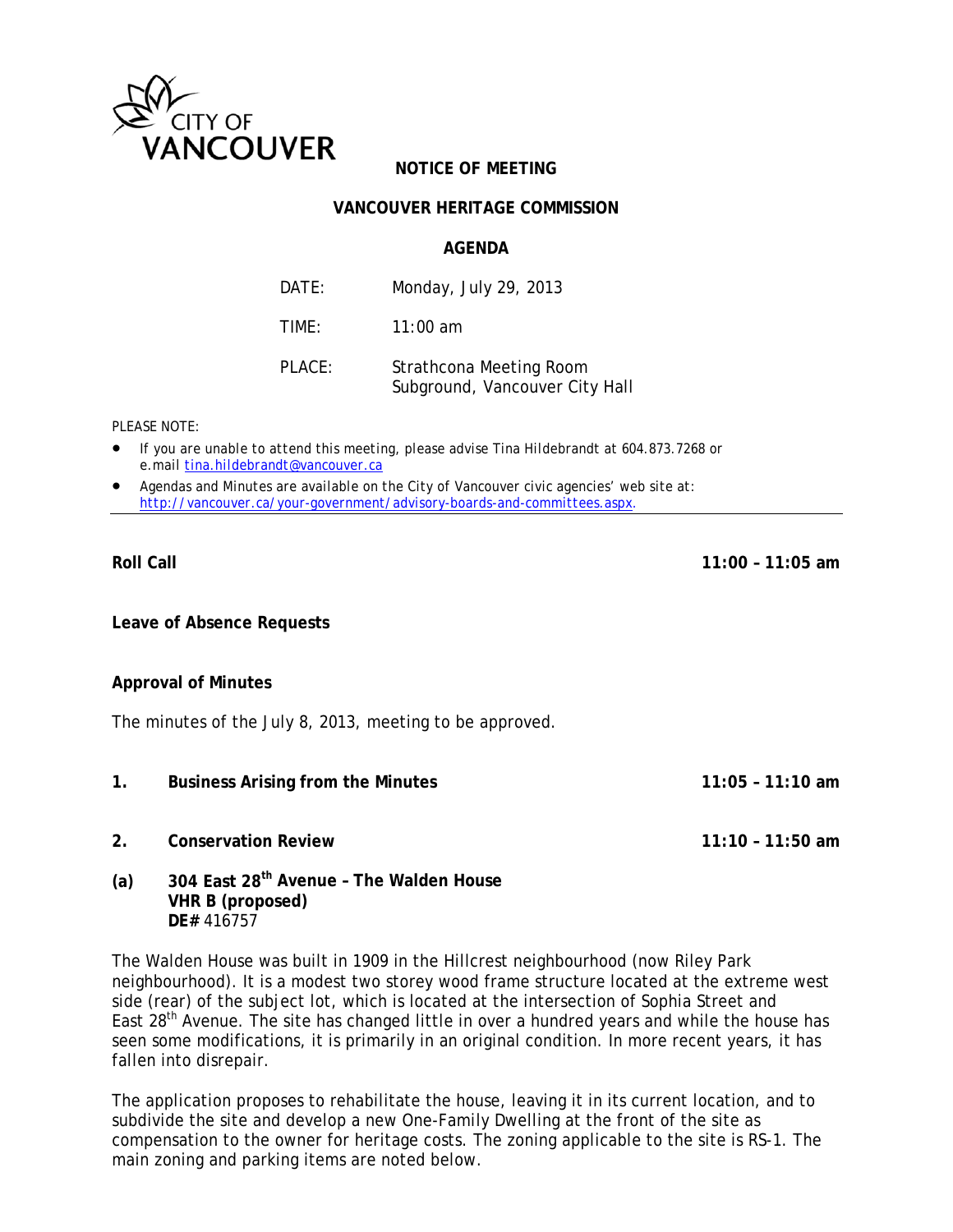

# **NOTICE OF MEETING**

### **VANCOUVER HERITAGE COMMISSION**

#### **AGENDA**

| DATE:  | Monday, July 29, 2013                                     |
|--------|-----------------------------------------------------------|
| TIME:  | $11:00$ am                                                |
| PLACE: | Strathcona Meeting Room<br>Subground, Vancouver City Hall |

#### *PLEASE NOTE:*

- *If you are unable to attend this meeting, please advise Tina Hildebrandt at 604.873.7268 or e.mail tina.hildebrandt@vancouver.ca*
- *Agendas and Minutes are available on the City of Vancouver civic agencies' web site at: http://vancouver.ca/your-government/advisory-boards-and-committees.aspx*.

**Leave of Absence Requests** 

#### **Approval of Minutes**

The minutes of the July 8, 2013, meeting to be approved.

- **1. Business Arising from the Minutes 11:05 11:10 am**
- **2. Conservation Review 11:10 11:50 am**
- 
- **(a) 304 East 28th Avenue The Walden House VHR B (proposed) DE#** 416757

The Walden House was built in 1909 in the Hillcrest neighbourhood (now Riley Park neighbourhood). It is a modest two storey wood frame structure located at the extreme west side (rear) of the subject lot, which is located at the intersection of Sophia Street and East 28<sup>th</sup> Avenue. The site has changed little in over a hundred years and while the house has seen some modifications, it is primarily in an original condition. In more recent years, it has fallen into disrepair.

The application proposes to rehabilitate the house, leaving it in its current location, and to subdivide the site and develop a new One-Family Dwelling at the front of the site as compensation to the owner for heritage costs. The zoning applicable to the site is RS-1. The main zoning and parking items are noted below.

**Roll Call 11:00 – 11:05 am**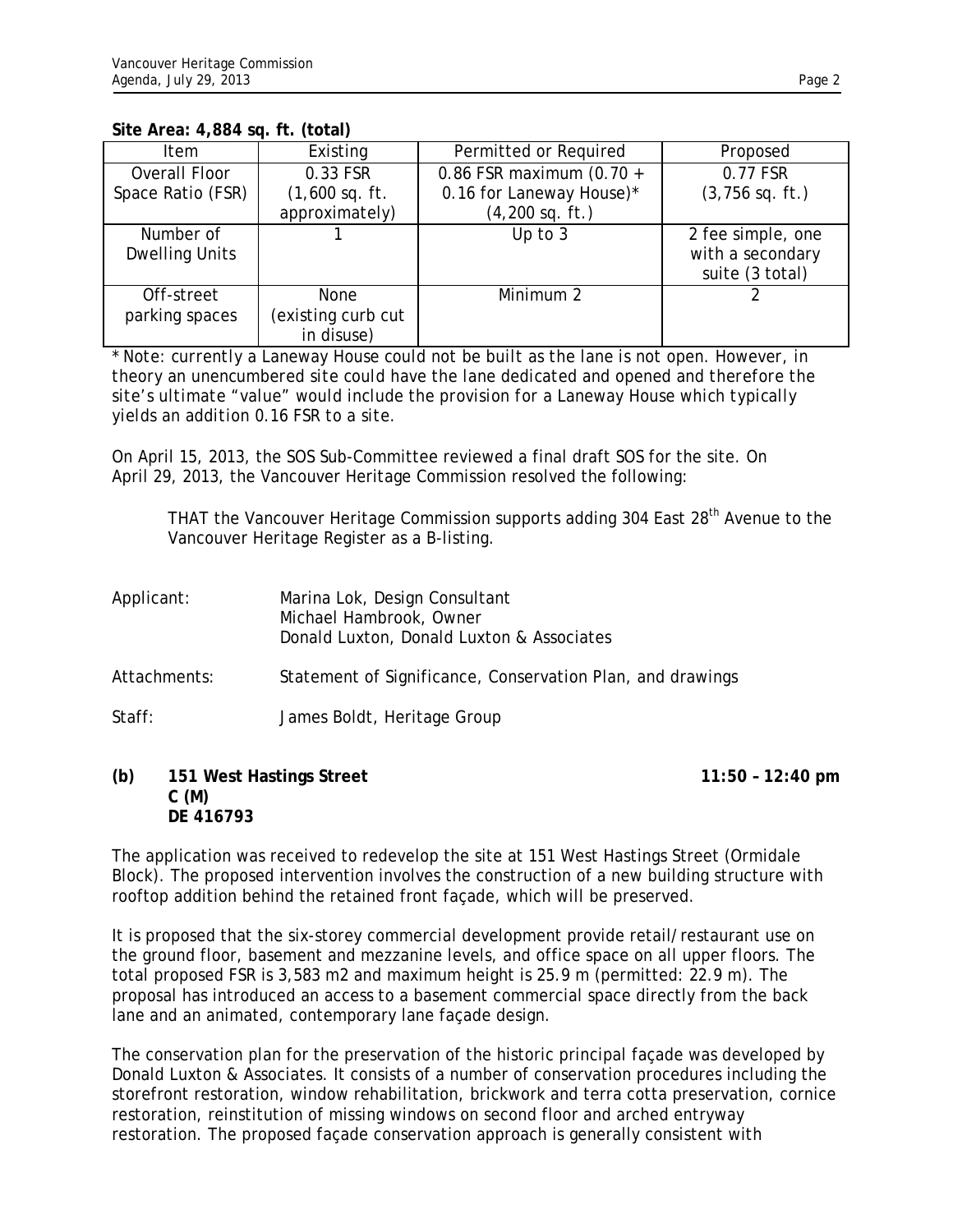### **Site Area: 4,884 sq. ft. (total)**

| Item                  | Existing           | Permitted or Required    | Proposed           |
|-----------------------|--------------------|--------------------------|--------------------|
| Overall Floor         | 0.33 FSR           | 0.86 FSR maximum (0.70 + | 0.77 FSR           |
| Space Ratio (FSR)     | $(1,600$ sq. ft.   | 0.16 for Laneway House)* | $(3, 756$ sq. ft.) |
|                       | approximately)     | (4,200 sq. ft.)          |                    |
| Number of             |                    | Up to 3                  | 2 fee simple, one  |
| <b>Dwelling Units</b> |                    |                          | with a secondary   |
|                       |                    |                          | suite (3 total)    |
| Off-street            | None               | Minimum 2                |                    |
| parking spaces        | (existing curb cut |                          |                    |
|                       | in disuse)         |                          |                    |

\* *Note: currently a Laneway House could not be built as the lane is not open. However, in theory an unencumbered site could have the lane dedicated and opened and therefore the site's ultimate "value" would include the provision for a Laneway House which typically yields an addition 0.16 FSR to a site.*

On April 15, 2013, the SOS Sub-Committee reviewed a final draft SOS for the site. On April 29, 2013, the Vancouver Heritage Commission resolved the following:

THAT the Vancouver Heritage Commission supports adding 304 East 28<sup>th</sup> Avenue to the Vancouver Heritage Register as a B-listing.

| Applicant:   | Marina Lok, Design Consultant<br>Michael Hambrook, Owner<br>Donald Luxton, Donald Luxton & Associates |
|--------------|-------------------------------------------------------------------------------------------------------|
| Attachments: | Statement of Significance, Conservation Plan, and drawings                                            |
| Staff:       | James Boldt, Heritage Group                                                                           |

**(b) 151 West Hastings Street 11:50 – 12:40 pm C (M) DE 416793** 

The application was received to redevelop the site at 151 West Hastings Street (Ormidale Block). The proposed intervention involves the construction of a new building structure with rooftop addition behind the retained front façade, which will be preserved.

It is proposed that the six-storey commercial development provide retail/restaurant use on the ground floor, basement and mezzanine levels, and office space on all upper floors. The total proposed FSR is 3,583 m2 and maximum height is 25.9 m (permitted: 22.9 m). The proposal has introduced an access to a basement commercial space directly from the back lane and an animated, contemporary lane façade design.

The conservation plan for the preservation of the historic principal façade was developed by Donald Luxton & Associates. It consists of a number of conservation procedures including the storefront restoration, window rehabilitation, brickwork and terra cotta preservation, cornice restoration, reinstitution of missing windows on second floor and arched entryway restoration. The proposed façade conservation approach is generally consistent with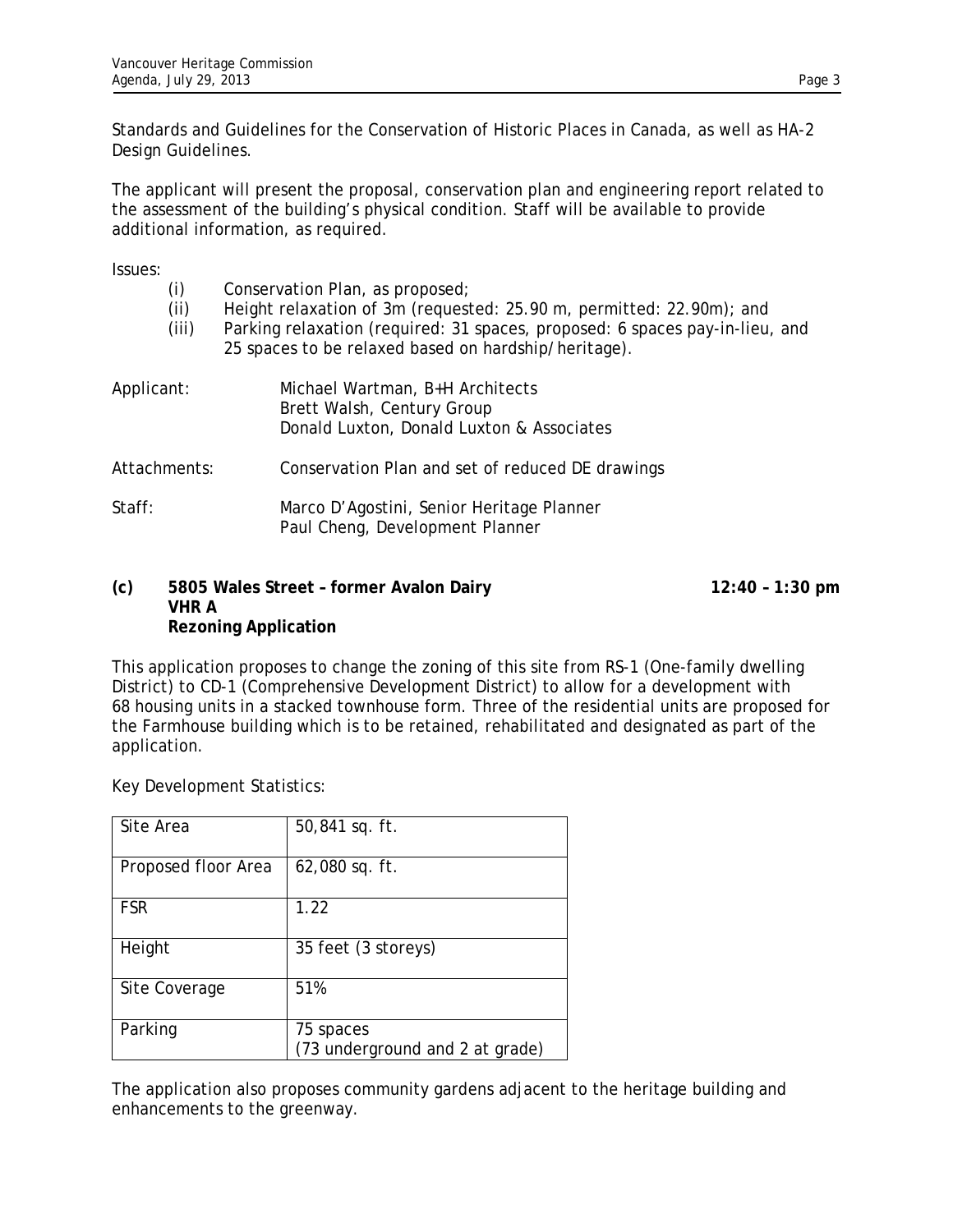Standards and Guidelines for the Conservation of Historic Places in Canada, as well as HA-2 Design Guidelines.

The applicant will present the proposal, conservation plan and engineering report related to the assessment of the building's physical condition. Staff will be available to provide additional information, as required.

Issues:

- (i) Conservation Plan, as proposed;
- (ii) Height relaxation of 3m (requested: 25.90 m, permitted: 22.90m); and
- (iii) Parking relaxation (required: 31 spaces, proposed: 6 spaces pay-in-lieu, and 25 spaces to be relaxed based on hardship/heritage).

| Applicant:   | Michael Wartman, B+H Architects<br>Brett Walsh, Century Group<br>Donald Luxton, Donald Luxton & Associates |
|--------------|------------------------------------------------------------------------------------------------------------|
| Attachments: | Conservation Plan and set of reduced DE drawings                                                           |
| Staff:       | Marco D'Agostini, Senior Heritage Planner<br>Paul Cheng, Development Planner                               |

# **(c) 5805 Wales Street – former Avalon Dairy 12:40 – 1:30 pm VHR A Rezoning Application**

This application proposes to change the zoning of this site from RS-1 (One-family dwelling District) to CD-1 (Comprehensive Development District) to allow for a development with 68 housing units in a stacked townhouse form. Three of the residential units are proposed for the Farmhouse building which is to be retained, rehabilitated and designated as part of the application.

Key Development Statistics:

| Site Area           | 50,841 sq. ft.                               |
|---------------------|----------------------------------------------|
| Proposed floor Area | 62,080 sq. ft.                               |
| <b>FSR</b>          | 1.22                                         |
| Height              | 35 feet (3 storeys)                          |
| Site Coverage       | 51%                                          |
| Parking             | 75 spaces<br>(73 underground and 2 at grade) |

The application also proposes community gardens adjacent to the heritage building and enhancements to the greenway.